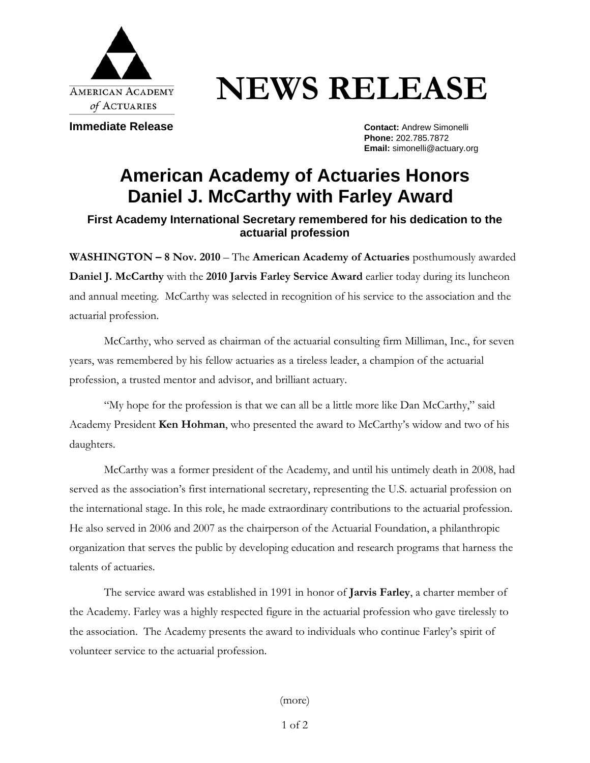

# **NEWS RELEASE**

**Immediate Release Contact: Andrew Simonelli** 

**Phone:** 202.785.7872 **Email:** simonelli@actuary.org

# **American Academy of Actuaries Honors Daniel J. McCarthy with Farley Award**

## **First Academy International Secretary remembered for his dedication to the actuarial profession**

**WASHINGTON – 8 Nov. 2010** – The **American Academy of Actuaries** posthumously awarded **Daniel J. McCarthy** with the **2010 Jarvis Farley Service Award** earlier today during its luncheon and annual meeting. McCarthy was selected in recognition of his service to the association and the actuarial profession.

McCarthy, who served as chairman of the actuarial consulting firm Milliman, Inc., for seven years, was remembered by his fellow actuaries as a tireless leader, a champion of the actuarial profession, a trusted mentor and advisor, and brilliant actuary.

"My hope for the profession is that we can all be a little more like Dan McCarthy," said Academy President **Ken Hohman**, who presented the award to McCarthy's widow and two of his daughters.

McCarthy was a former president of the Academy, and until his untimely death in 2008, had served as the association's first international secretary, representing the U.S. actuarial profession on the international stage. In this role, he made extraordinary contributions to the actuarial profession. He also served in 2006 and 2007 as the chairperson of the Actuarial Foundation, a philanthropic organization that serves the public by developing education and research programs that harness the talents of actuaries.

The service award was established in 1991 in honor of **Jarvis Farley**, a charter member of the Academy. Farley was a highly respected figure in the actuarial profession who gave tirelessly to the association. The Academy presents the award to individuals who continue Farley's spirit of volunteer service to the actuarial profession.

(more)

1 of 2